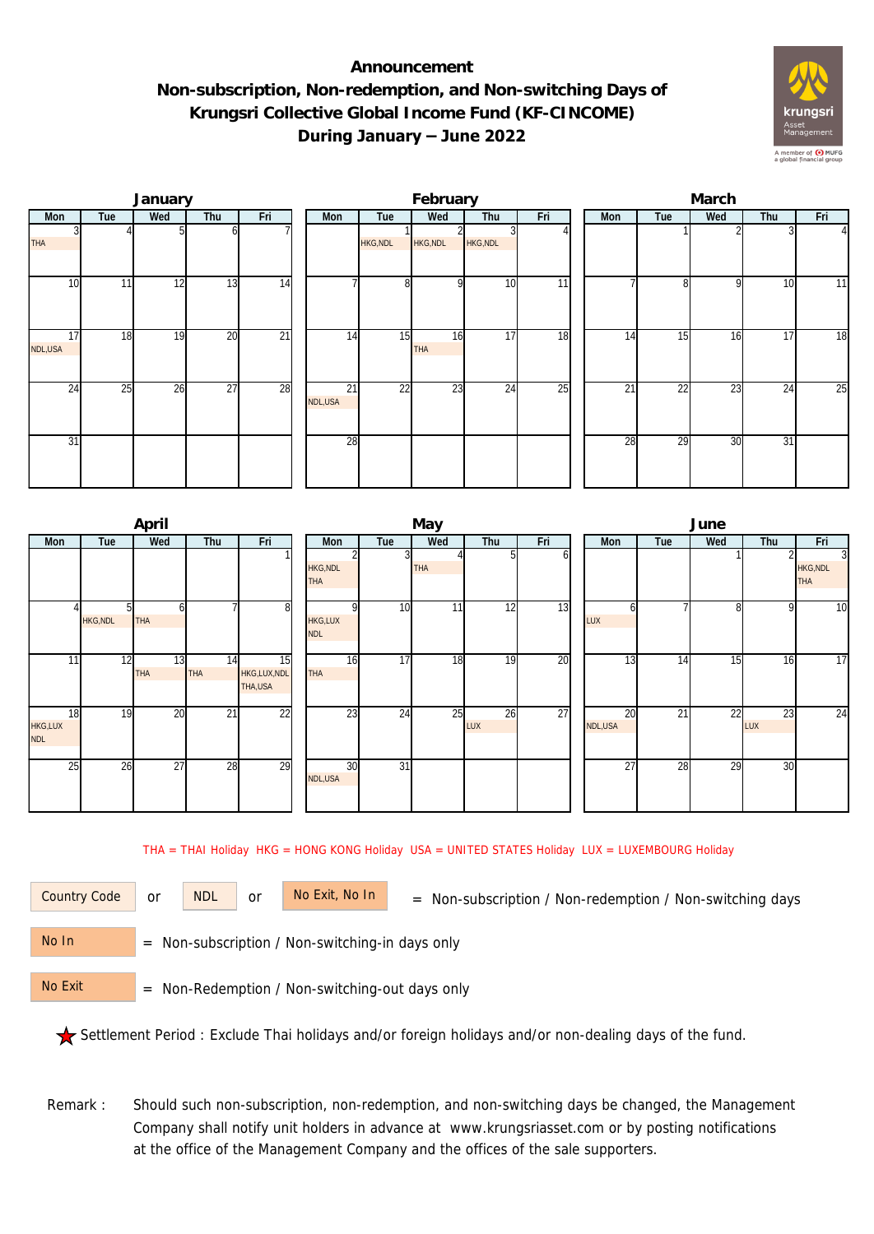## **Announcement Non-subscription, Non-redemption, and Non-switching Days of Krungsri Collective Global Income Fund (KF-CINCOME) During January – June 2022**



|               |     | January |                 |                 |                            |                 | February         |                 |                 | March |                 |              |     |                 |  |  |
|---------------|-----|---------|-----------------|-----------------|----------------------------|-----------------|------------------|-----------------|-----------------|-------|-----------------|--------------|-----|-----------------|--|--|
| Mon           | Tue | Wed     | Thu             | Fri             | Mon                        | Tue             | Wed              | Thu             | Fri             | Mon   | Tue             | Wed          | Thu | Fri             |  |  |
| THA           |     |         |                 |                 |                            | <b>HKG, NDL</b> | HKG, NDL         | <b>HKG, NDL</b> |                 |       |                 |              |     | $\Delta$        |  |  |
| 10            | 11  | 12      | $1\overline{3}$ | 14              |                            | 8 <sup>1</sup>  | $\Omega$         | 10              | $\overline{11}$ |       | 8               | $\mathsf{Q}$ | 10  | 11              |  |  |
| 17<br>NDL,USA | 18  | 19      | $\overline{20}$ | $\overline{21}$ | 14                         | 15              | 16<br><b>THA</b> | 17              | 18              | 14    | 15              | 16           | 17  | $\overline{18}$ |  |  |
| 24            | 25  | 26      | $\overline{27}$ | 28              | $\overline{21}$<br>NDL,USA | 22              | 23               | 24              | 25              | 21    | $\overline{22}$ | 23           | 24  | 25              |  |  |
| 31            |     |         |                 |                 | 28                         |                 |                  |                 |                 | 28    | 29              | 30           | 31  |                 |  |  |

|                             |                | April      |                 |                              |                               |                 | May        |                  |     | June          |                 |                 |              |                                                 |  |  |
|-----------------------------|----------------|------------|-----------------|------------------------------|-------------------------------|-----------------|------------|------------------|-----|---------------|-----------------|-----------------|--------------|-------------------------------------------------|--|--|
| Mon                         | Tue            | Wed        | Thu             | Fri                          | Mon                           | Tue             | Wed        | Thu              | Fri | Mon           | Tue             | Wed             | Thu          | Fri                                             |  |  |
|                             |                |            |                 |                              | <b>HKG, NDL</b><br><b>THA</b> | 3               | <b>THA</b> | 51               | οı  |               |                 |                 |              | $\overline{3}$<br><b>HKG, NDL</b><br><b>THA</b> |  |  |
|                             | <b>HKG,NDL</b> | <b>THA</b> |                 | 8                            | <b>HKG,LUX</b><br><b>NDL</b>  | 10              | 11         | 12               | 13  | n<br>LUX      |                 | 81              | $\mathsf{Q}$ | $\overline{10}$                                 |  |  |
| 11                          | 12             | 13<br>THA  | 14<br>THA       | 15<br>HKG,LUX,NDL<br>THA,USA | 16<br><b>THA</b>              | $\overline{17}$ | 18         | 19               | 20  | 13            | 14              | 15 <sub>1</sub> | 16           | $\overline{17}$                                 |  |  |
| 18<br>HKG,LUX<br><b>NDL</b> | 19             | 20         | $\overline{21}$ | $\overline{22}$              | 23                            | $\overline{24}$ | 25         | 26<br><b>LUX</b> | 27  | 20<br>NDL,USA | $\overline{21}$ | $\overline{22}$ | 23<br>LUX    | $\overline{24}$                                 |  |  |
| 25                          | 26             | 27         | 28              | 29                           | 30<br>NDL,USA                 | $\overline{31}$ |            |                  |     | 27            | 28              | 29              | 30           |                                                 |  |  |

THA = THAI Holiday HKG = HONG KONG Holiday USA = UNITED STATES Holiday LUX = LUXEMBOURG Holiday

or NDL or

Country Code or NDL or No Exit, No In = Non-subscription / Non-redemption / Non-switching days

 = Non-subscription / Non-switching-in days only No In

 = Non-Redemption / Non-switching-out days only No Exit

Settlement Period : Exclude Thai holidays and/or foreign holidays and/or non-dealing days of the fund.

Remark : Should such non-subscription, non-redemption, and non-switching days be changed, the Management Company shall notify unit holders in advance at www.krungsriasset.com or by posting notifications at the office of the Management Company and the offices of the sale supporters.